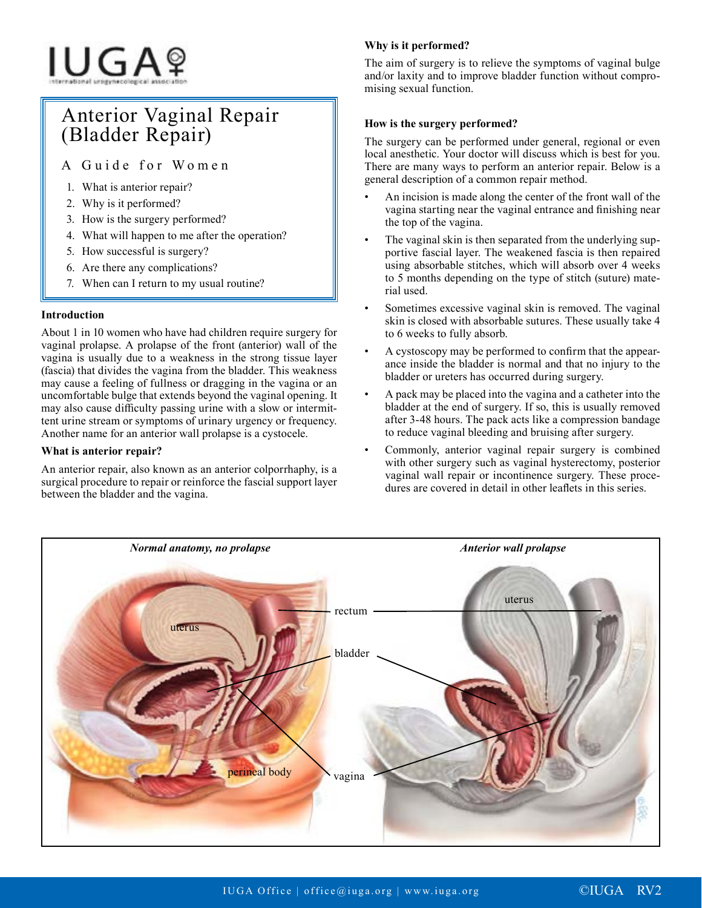# IUGAº

# Anterior Vaginal Repair (Bladder Repair)

A Guide for Women

- 1. What is anterior repair?
- 2. Why is it performed?
- 3. How is the surgery performed?
- 4. What will happen to me after the operation?
- 5. How successful is surgery?
- 6. Are there any complications?
- 7. When can I return to my usual routine?

# **Introduction**

About 1 in 10 women who have had children require surgery for vaginal prolapse. A prolapse of the front (anterior) wall of the vagina is usually due to a weakness in the strong tissue layer (fascia) that divides the vagina from the bladder. This weakness may cause a feeling of fullness or dragging in the vagina or an uncomfortable bulge that extends beyond the vaginal opening. It may also cause difficulty passing urine with a slow or intermittent urine stream or symptoms of urinary urgency or frequency. Another name for an anterior wall prolapse is a cystocele.

### **What is anterior repair?**

An anterior repair, also known as an anterior colporrhaphy, is a surgical procedure to repair or reinforce the fascial support layer between the bladder and the vagina.

# **Why is it performed?**

The aim of surgery is to relieve the symptoms of vaginal bulge and/or laxity and to improve bladder function without compromising sexual function.

# **How is the surgery performed?**

The surgery can be performed under general, regional or even local anesthetic. Your doctor will discuss which is best for you. There are many ways to perform an anterior repair. Below is a general description of a common repair method.

- An incision is made along the center of the front wall of the vagina starting near the vaginal entrance and finishing near the top of the vagina.
- The vaginal skin is then separated from the underlying supportive fascial layer. The weakened fascia is then repaired using absorbable stitches, which will absorb over 4 weeks to 5 months depending on the type of stitch (suture) material used.
- Sometimes excessive vaginal skin is removed. The vaginal skin is closed with absorbable sutures. These usually take 4 to 6 weeks to fully absorb.
- A cystoscopy may be performed to confirm that the appearance inside the bladder is normal and that no injury to the bladder or ureters has occurred during surgery.
- A pack may be placed into the vagina and a catheter into the bladder at the end of surgery. If so, this is usually removed after 3-48 hours. The pack acts like a compression bandage to reduce vaginal bleeding and bruising after surgery.
- Commonly, anterior vaginal repair surgery is combined with other surgery such as vaginal hysterectomy, posterior vaginal wall repair or incontinence surgery. These procedures are covered in detail in other leaflets in this series.

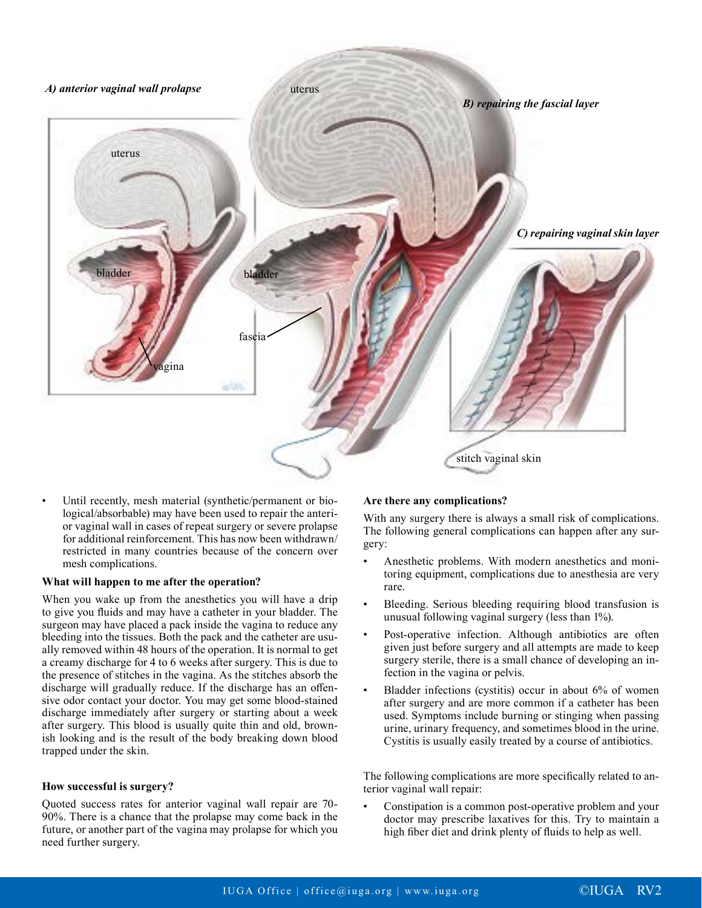

Until recently, mesh material (synthetic/permanent or biological/absorbable) may have been used to repair the anterior vaginal wall in cases of repeat surgery or severe prolapse for additional reinforcement. This has now been withdrawn/ restricted in many countries because of the concern over mesh complications.

#### **What will happen to me after the operation?**

When you wake up from the anesthetics you will have a drip to give you fluids and may have a catheter in your bladder. The surgeon may have placed a pack inside the vagina to reduce any bleeding into the tissues. Both the pack and the catheter are usually removed within 48 hours of the operation. It is normal to get a creamy discharge for 4 to 6 weeks after surgery. This is due to the presence of stitches in the vagina. As the stitches absorb the discharge will gradually reduce. If the discharge has an offensive odor contact your doctor. You may get some blood-stained discharge immediately after surgery or starting about a week after surgery. This blood is usually quite thin and old, brownish looking and is the result of the body breaking down blood trapped under the skin.

#### **How successful is surgery?**

Quoted success rates for anterior vaginal wall repair are 70- 90%. There is a chance that the prolapse may come back in the future, or another part of the vagina may prolapse for which you need further surgery.

#### **Are there any complications?**

With any surgery there is always a small risk of complications. The following general complications can happen after any surgery:

- Anesthetic problems. With modern anesthetics and monitoring equipment, complications due to anesthesia are very rare.
- Bleeding. Serious bleeding requiring blood transfusion is unusual following vaginal surgery (less than 1%).
- Post-operative infection. Although antibiotics are often given just before surgery and all attempts are made to keep surgery sterile, there is a small chance of developing an infection in the vagina or pelvis.
- Bladder infections (cystitis) occur in about 6% of women after surgery and are more common if a catheter has been used. Symptoms include burning or stinging when passing urine, urinary frequency, and sometimes blood in the urine. Cystitis is usually easily treated by a course of antibiotics.

The following complications are more specifically related to anterior vaginal wall repair:

• Constipation is a common post-operative problem and your doctor may prescribe laxatives for this. Try to maintain a high fiber diet and drink plenty of fluids to help as well.